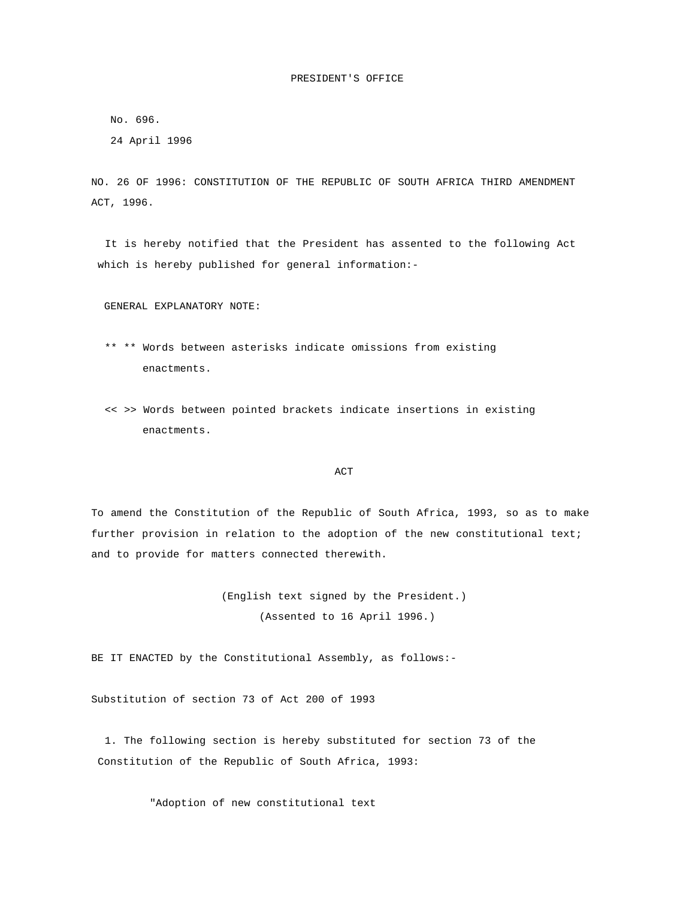## PRESIDENT'S OFFICE

No. 696.

24 April 1996

NO. 26 OF 1996: CONSTITUTION OF THE REPUBLIC OF SOUTH AFRICA THIRD AMENDMENT ACT, 1996.

 It is hereby notified that the President has assented to the following Act which is hereby published for general information:-

GENERAL EXPLANATORY NOTE:

- \*\* \*\* Words between asterisks indicate omissions from existing enactments.
- << >> Words between pointed brackets indicate insertions in existing enactments.

## **ACT**

To amend the Constitution of the Republic of South Africa, 1993, so as to make further provision in relation to the adoption of the new constitutional text; and to provide for matters connected therewith.

> (English text signed by the President.) (Assented to 16 April 1996.)

BE IT ENACTED by the Constitutional Assembly, as follows:-

Substitution of section 73 of Act 200 of 1993

 1. The following section is hereby substituted for section 73 of the Constitution of the Republic of South Africa, 1993:

"Adoption of new constitutional text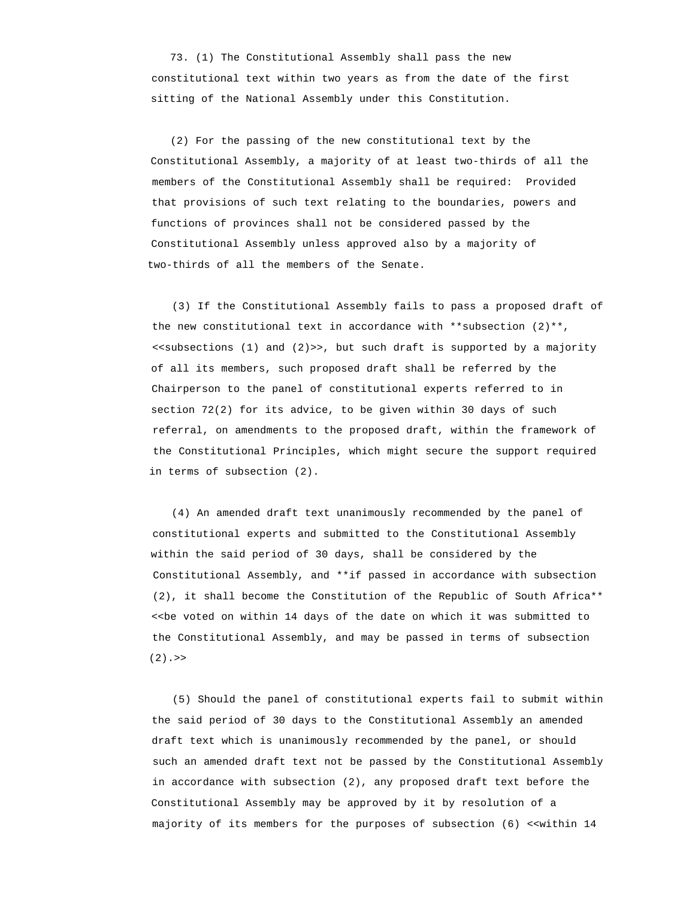73. (1) The Constitutional Assembly shall pass the new constitutional text within two years as from the date of the first sitting of the National Assembly under this Constitution.

 (2) For the passing of the new constitutional text by the Constitutional Assembly, a majority of at least two-thirds of all the members of the Constitutional Assembly shall be required: Provided that provisions of such text relating to the boundaries, powers and functions of provinces shall not be considered passed by the Constitutional Assembly unless approved also by a majority of two-thirds of all the members of the Senate.

 (3) If the Constitutional Assembly fails to pass a proposed draft of the new constitutional text in accordance with \*\*subsection  $(2)$ \*\*, <<subsections (1) and (2)>>, but such draft is supported by a majority of all its members, such proposed draft shall be referred by the Chairperson to the panel of constitutional experts referred to in section 72(2) for its advice, to be given within 30 days of such referral, on amendments to the proposed draft, within the framework of the Constitutional Principles, which might secure the support required in terms of subsection (2).

 (4) An amended draft text unanimously recommended by the panel of constitutional experts and submitted to the Constitutional Assembly within the said period of 30 days, shall be considered by the Constitutional Assembly, and \*\*if passed in accordance with subsection (2), it shall become the Constitution of the Republic of South Africa\*\* <<be voted on within 14 days of the date on which it was submitted to the Constitutional Assembly, and may be passed in terms of subsection  $(2)$ . >>

 (5) Should the panel of constitutional experts fail to submit within the said period of 30 days to the Constitutional Assembly an amended draft text which is unanimously recommended by the panel, or should such an amended draft text not be passed by the Constitutional Assembly in accordance with subsection (2), any proposed draft text before the Constitutional Assembly may be approved by it by resolution of a majority of its members for the purposes of subsection (6) <<within 14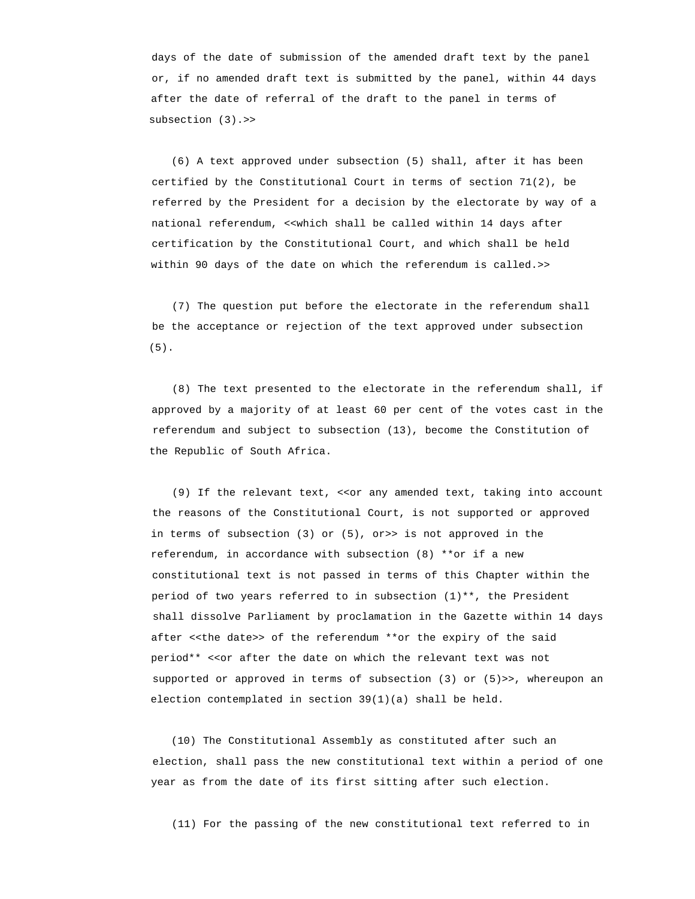days of the date of submission of the amended draft text by the panel or, if no amended draft text is submitted by the panel, within 44 days after the date of referral of the draft to the panel in terms of subsection (3).>>

 (6) A text approved under subsection (5) shall, after it has been certified by the Constitutional Court in terms of section 71(2), be referred by the President for a decision by the electorate by way of a national referendum, <<which shall be called within 14 days after certification by the Constitutional Court, and which shall be held within 90 days of the date on which the referendum is called.>>

 (7) The question put before the electorate in the referendum shall be the acceptance or rejection of the text approved under subsection (5).

 (8) The text presented to the electorate in the referendum shall, if approved by a majority of at least 60 per cent of the votes cast in the referendum and subject to subsection (13), become the Constitution of the Republic of South Africa.

 (9) If the relevant text, <<or any amended text, taking into account the reasons of the Constitutional Court, is not supported or approved in terms of subsection (3) or (5), or>> is not approved in the referendum, in accordance with subsection (8) \*\*or if a new constitutional text is not passed in terms of this Chapter within the period of two years referred to in subsection (1)\*\*, the President shall dissolve Parliament by proclamation in the Gazette within 14 days after <<the date>> of the referendum \*\*or the expiry of the said period\*\* <<or after the date on which the relevant text was not supported or approved in terms of subsection (3) or (5)>>, whereupon an election contemplated in section 39(1)(a) shall be held.

 (10) The Constitutional Assembly as constituted after such an election, shall pass the new constitutional text within a period of one year as from the date of its first sitting after such election.

(11) For the passing of the new constitutional text referred to in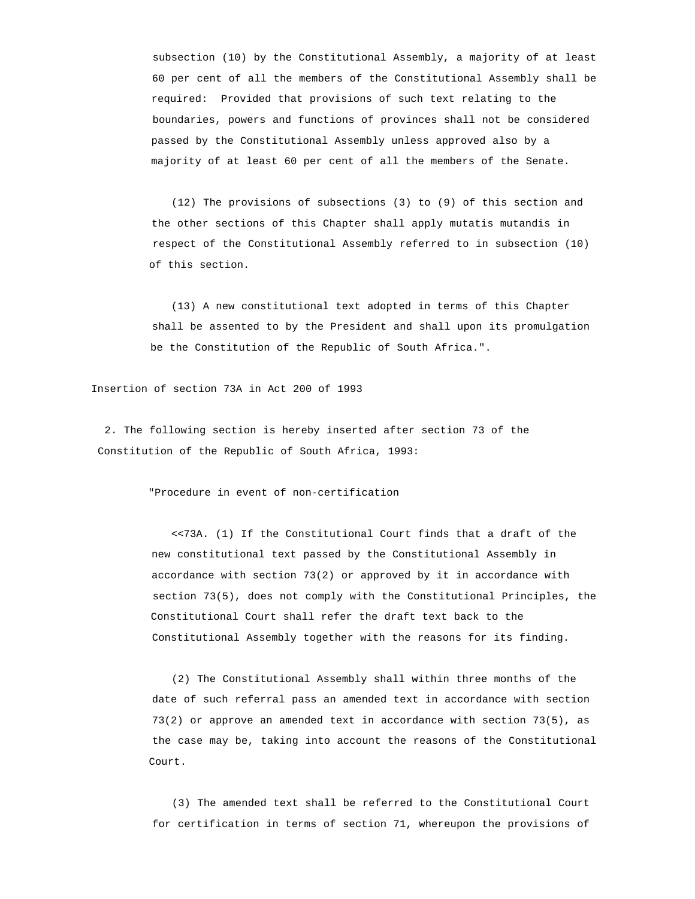subsection (10) by the Constitutional Assembly, a majority of at least 60 per cent of all the members of the Constitutional Assembly shall be required: Provided that provisions of such text relating to the boundaries, powers and functions of provinces shall not be considered passed by the Constitutional Assembly unless approved also by a majority of at least 60 per cent of all the members of the Senate.

 (12) The provisions of subsections (3) to (9) of this section and the other sections of this Chapter shall apply mutatis mutandis in respect of the Constitutional Assembly referred to in subsection (10) of this section.

 (13) A new constitutional text adopted in terms of this Chapter shall be assented to by the President and shall upon its promulgation be the Constitution of the Republic of South Africa.".

Insertion of section 73A in Act 200 of 1993

 2. The following section is hereby inserted after section 73 of the Constitution of the Republic of South Africa, 1993:

"Procedure in event of non-certification

 <<73A. (1) If the Constitutional Court finds that a draft of the new constitutional text passed by the Constitutional Assembly in accordance with section 73(2) or approved by it in accordance with section 73(5), does not comply with the Constitutional Principles, the Constitutional Court shall refer the draft text back to the Constitutional Assembly together with the reasons for its finding.

 (2) The Constitutional Assembly shall within three months of the date of such referral pass an amended text in accordance with section 73(2) or approve an amended text in accordance with section 73(5), as the case may be, taking into account the reasons of the Constitutional Court.

 (3) The amended text shall be referred to the Constitutional Court for certification in terms of section 71, whereupon the provisions of